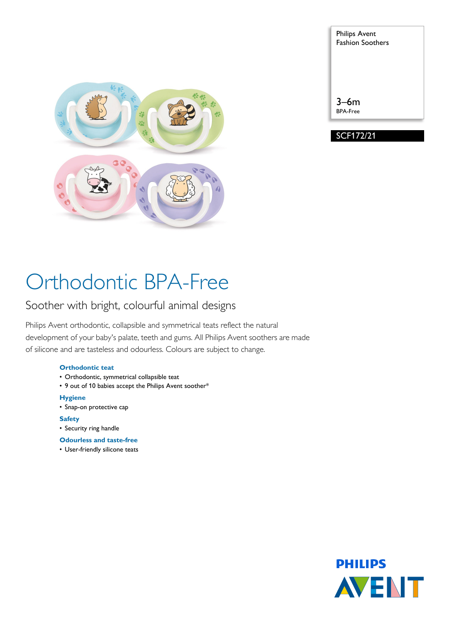

| <b>Philips Avent</b><br><b>Fashion Soothers</b> |
|-------------------------------------------------|
| $3-6m$<br><b>BPA-Free</b>                       |
| <b>SCF172/21</b>                                |

# Orthodontic BPA-Free

### Soother with bright, colourful animal designs

Philips Avent orthodontic, collapsible and symmetrical teats reflect the natural development of your baby's palate, teeth and gums. All Philips Avent soothers are made of silicone and are tasteless and odourless. Colours are subject to change.

#### **Orthodontic teat**

- Orthodontic, symmetrical collapsible teat
- 9 out of 10 babies accept the Philips Avent soother\*

#### **Hygiene**

• Snap-on protective cap

#### **Safety**

- Security ring handle
- **Odourless and taste-free**
- User-friendly silicone teats